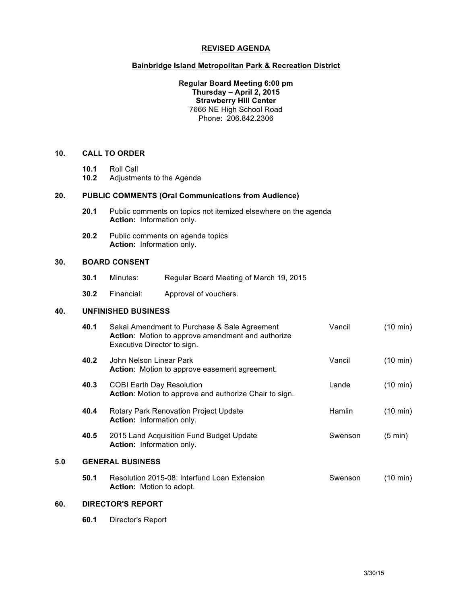#### **REVISED AGENDA**

#### **Bainbridge Island Metropolitan Park & Recreation District**

#### **Regular Board Meeting 6:00 pm Thursday – April 2, 2015 Strawberry Hill Center** 7666 NE High School Road Phone: 206.842.2306

# **10. CALL TO ORDER**

- **10.1** Roll Call
- **10.2** Adjustments to the Agenda

## **20. PUBLIC COMMENTS (Oral Communications from Audience)**

- **20.1** Public comments on topics not itemized elsewhere on the agenda **Action:** Information only.
- **20.2** Public comments on agenda topics **Action:** Information only.

#### **30. BOARD CONSENT**

- **30.1** Minutes: Regular Board Meeting of March 19, 2015
- **30.2** Financial: Approval of vouchers.

## **40. UNFINISHED BUSINESS**

|     | 40.1                    | Sakai Amendment to Purchase & Sale Agreement<br>Action: Motion to approve amendment and authorize<br>Executive Director to sign. | Vancil        | $(10 \text{ min})$ |
|-----|-------------------------|----------------------------------------------------------------------------------------------------------------------------------|---------------|--------------------|
|     | 40.2                    | John Nelson Linear Park<br>Action: Motion to approve easement agreement.                                                         | Vancil        | $(10 \text{ min})$ |
|     | 40.3                    | <b>COBI Earth Day Resolution</b><br>Action: Motion to approve and authorize Chair to sign.                                       | Lande         | $(10 \text{ min})$ |
|     | 40.4                    | Rotary Park Renovation Project Update<br><b>Action:</b> Information only.                                                        | <b>Hamlin</b> | $(10 \text{ min})$ |
|     | 40.5                    | 2015 Land Acquisition Fund Budget Update<br><b>Action:</b> Information only.                                                     | Swenson       | $(5 \text{ min})$  |
| 5.0 | <b>GENERAL BUSINESS</b> |                                                                                                                                  |               |                    |
|     | 50.1                    | Resolution 2015-08: Interfund Loan Extension<br><b>Action:</b> Motion to adopt.                                                  | Swenson       | (10 min)           |

#### **60. DIRECTOR'S REPORT**

**60.1** Director's Report